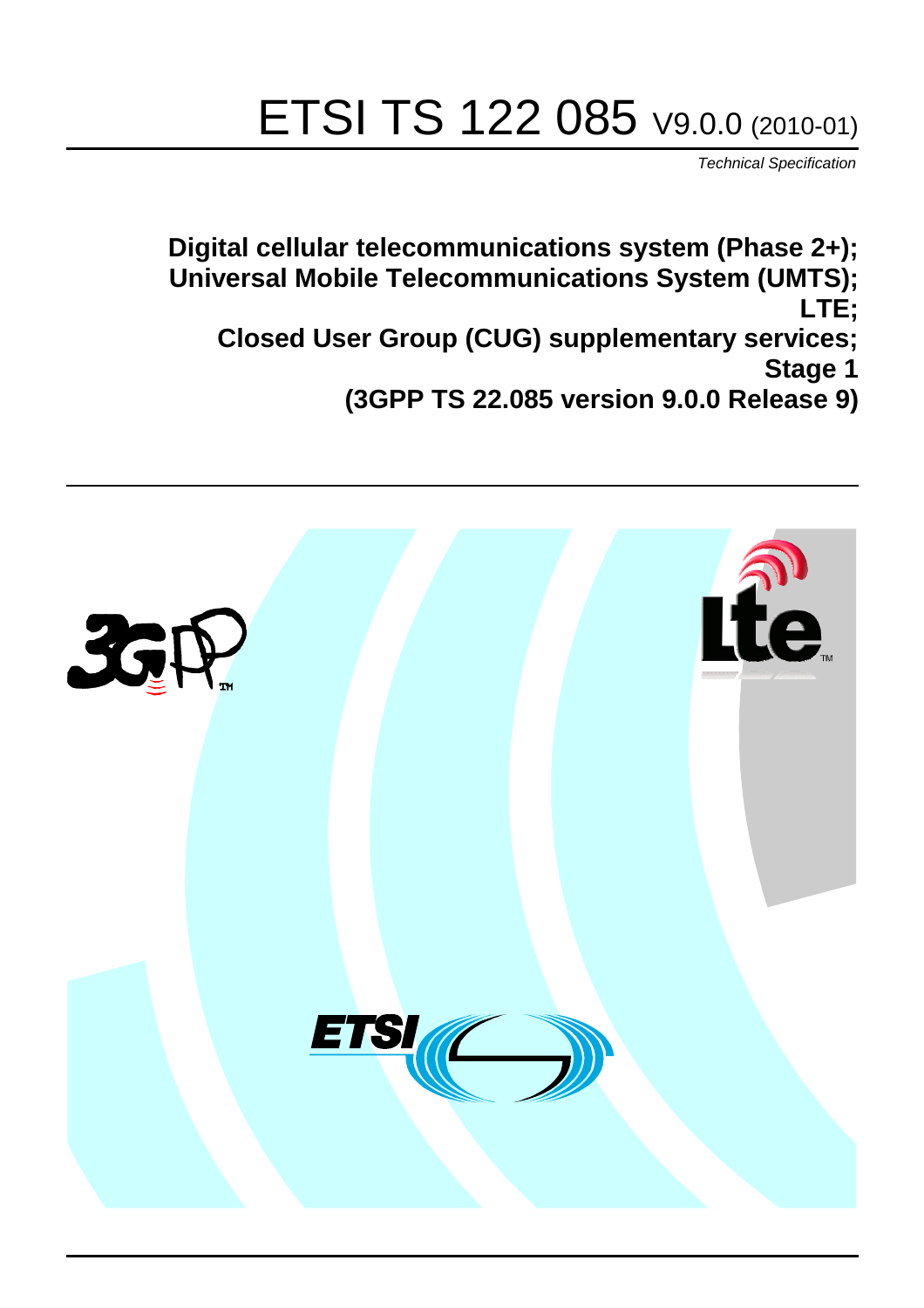# ETSI TS 122 085 V9.0.0 (2010-01)

*Technical Specification*

**Digital cellular telecommunications system (Phase 2+); Universal Mobile Telecommunications System (UMTS); LTE; Closed User Group (CUG) supplementary services; Stage 1 (3GPP TS 22.085 version 9.0.0 Release 9)**

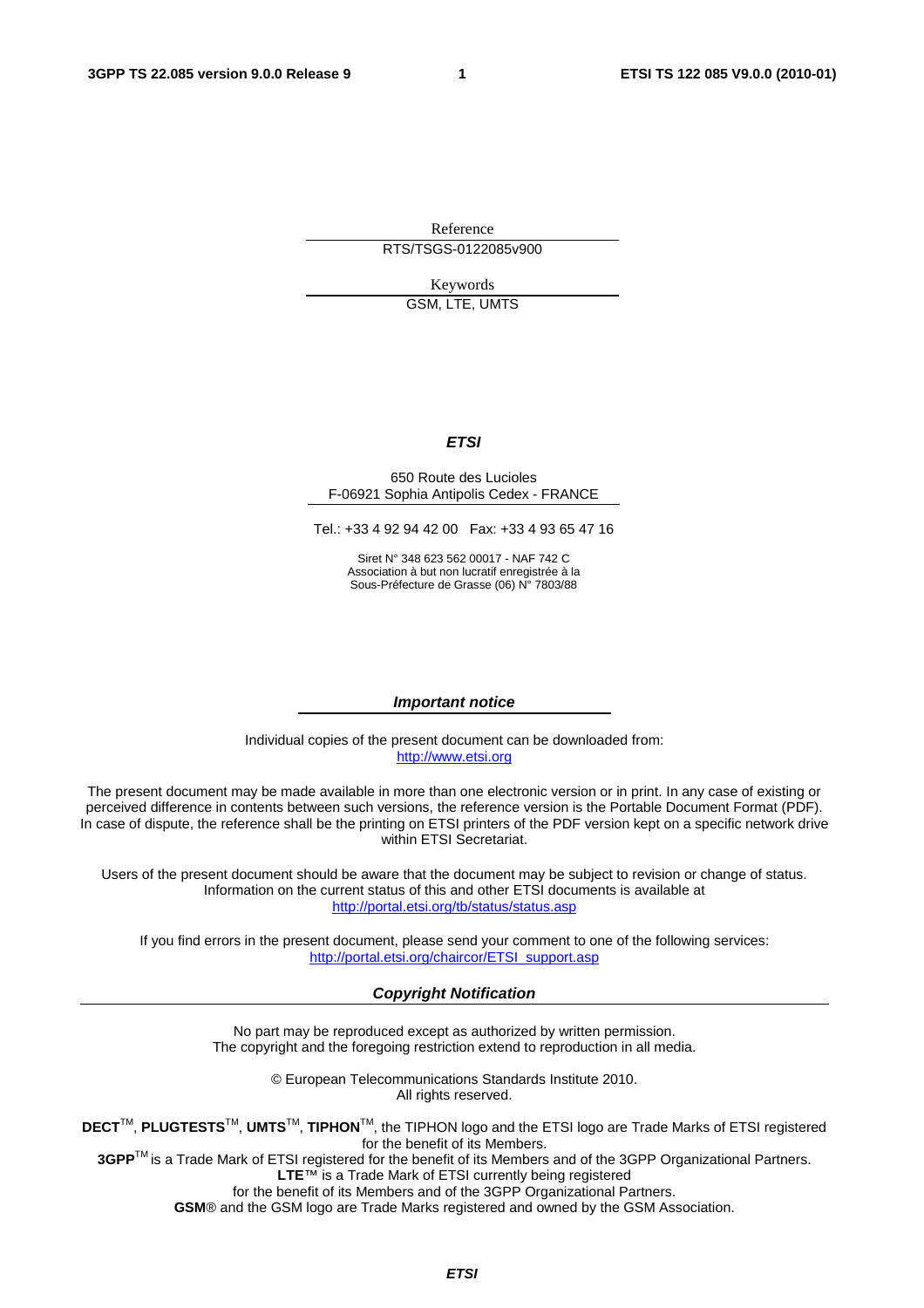Reference RTS/TSGS-0122085v900

Keywords

GSM, LTE, UMTS

#### *ETSI*

#### 650 Route des Lucioles F-06921 Sophia Antipolis Cedex - FRANCE

Tel.: +33 4 92 94 42 00 Fax: +33 4 93 65 47 16

Siret N° 348 623 562 00017 - NAF 742 C Association à but non lucratif enregistrée à la Sous-Préfecture de Grasse (06) N° 7803/88

#### *Important notice*

Individual copies of the present document can be downloaded from: [http://www.etsi.org](http://www.etsi.org/)

The present document may be made available in more than one electronic version or in print. In any case of existing or perceived difference in contents between such versions, the reference version is the Portable Document Format (PDF). In case of dispute, the reference shall be the printing on ETSI printers of the PDF version kept on a specific network drive within ETSI Secretariat.

Users of the present document should be aware that the document may be subject to revision or change of status. Information on the current status of this and other ETSI documents is available at <http://portal.etsi.org/tb/status/status.asp>

If you find errors in the present document, please send your comment to one of the following services: [http://portal.etsi.org/chaircor/ETSI\\_support.asp](http://portal.etsi.org/chaircor/ETSI_support.asp)

#### *Copyright Notification*

No part may be reproduced except as authorized by written permission. The copyright and the foregoing restriction extend to reproduction in all media.

> © European Telecommunications Standards Institute 2010. All rights reserved.

**DECT**TM, **PLUGTESTS**TM, **UMTS**TM, **TIPHON**TM, the TIPHON logo and the ETSI logo are Trade Marks of ETSI registered for the benefit of its Members.

**3GPP**TM is a Trade Mark of ETSI registered for the benefit of its Members and of the 3GPP Organizational Partners. **LTE**™ is a Trade Mark of ETSI currently being registered

for the benefit of its Members and of the 3GPP Organizational Partners.

**GSM**® and the GSM logo are Trade Marks registered and owned by the GSM Association.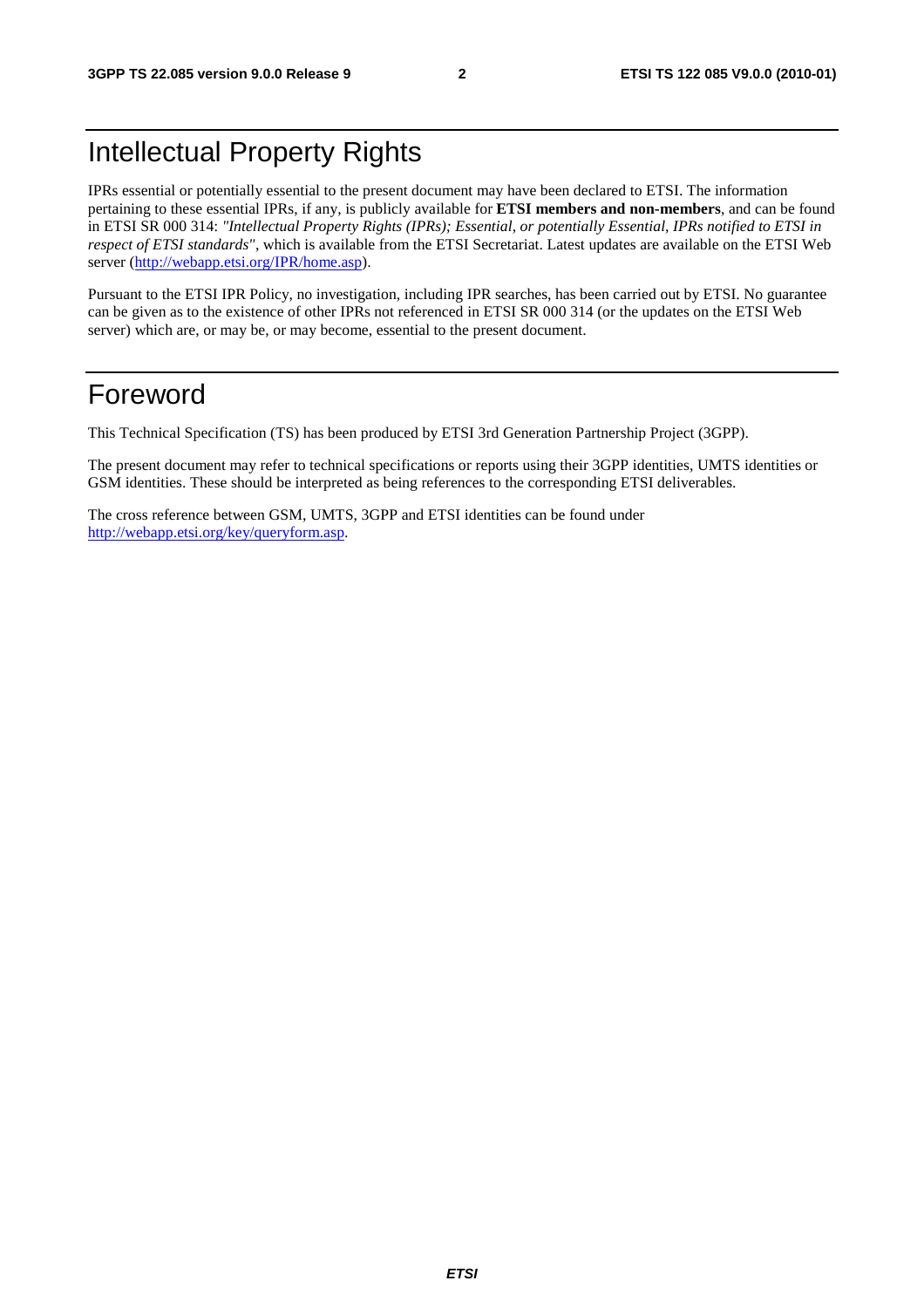### Intellectual Property Rights

IPRs essential or potentially essential to the present document may have been declared to ETSI. The information pertaining to these essential IPRs, if any, is publicly available for **ETSI members and non-members**, and can be found in ETSI SR 000 314: *"Intellectual Property Rights (IPRs); Essential, or potentially Essential, IPRs notified to ETSI in respect of ETSI standards"*, which is available from the ETSI Secretariat. Latest updates are available on the ETSI Web server [\(http://webapp.etsi.org/IPR/home.asp](http://webapp.etsi.org/IPR/home.asp)).

Pursuant to the ETSI IPR Policy, no investigation, including IPR searches, has been carried out by ETSI. No guarantee can be given as to the existence of other IPRs not referenced in ETSI SR 000 314 (or the updates on the ETSI Web server) which are, or may be, or may become, essential to the present document.

### Foreword

This Technical Specification (TS) has been produced by ETSI 3rd Generation Partnership Project (3GPP).

The present document may refer to technical specifications or reports using their 3GPP identities, UMTS identities or GSM identities. These should be interpreted as being references to the corresponding ETSI deliverables.

The cross reference between GSM, UMTS, 3GPP and ETSI identities can be found under <http://webapp.etsi.org/key/queryform.asp>.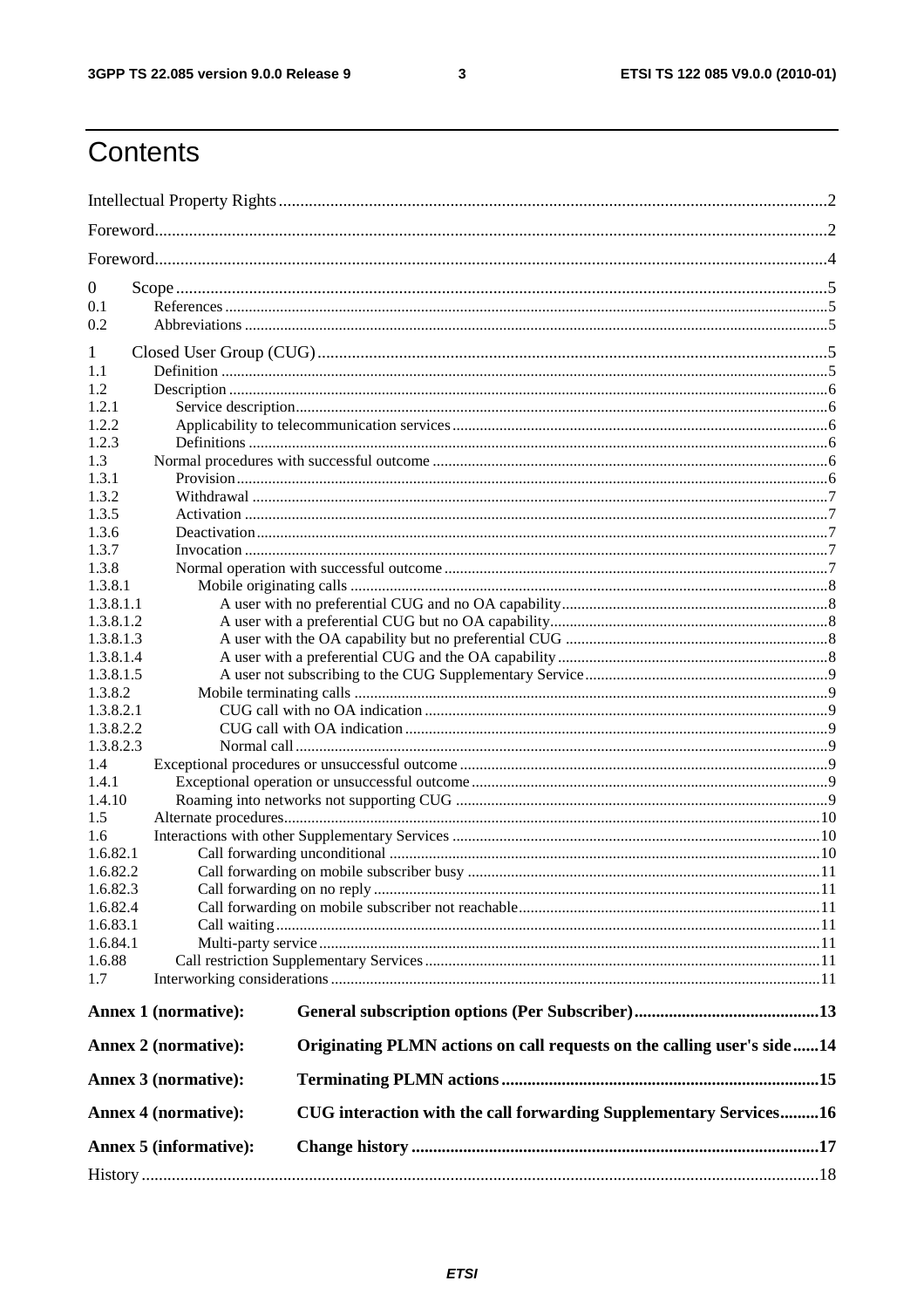$\mathbf{3}$ 

### Contents

| $\overline{0}$                                                                                   |                             |                                                                        |  |  |  |  |  |
|--------------------------------------------------------------------------------------------------|-----------------------------|------------------------------------------------------------------------|--|--|--|--|--|
| 0.1                                                                                              |                             |                                                                        |  |  |  |  |  |
| 0.2                                                                                              |                             |                                                                        |  |  |  |  |  |
|                                                                                                  |                             |                                                                        |  |  |  |  |  |
| 1                                                                                                |                             |                                                                        |  |  |  |  |  |
| 1.1                                                                                              |                             |                                                                        |  |  |  |  |  |
| 1.2                                                                                              |                             |                                                                        |  |  |  |  |  |
| 1.2.1                                                                                            |                             |                                                                        |  |  |  |  |  |
| 1.2.2                                                                                            |                             |                                                                        |  |  |  |  |  |
| 1.2.3                                                                                            |                             |                                                                        |  |  |  |  |  |
| 1.3                                                                                              |                             |                                                                        |  |  |  |  |  |
| 1.3.1                                                                                            |                             |                                                                        |  |  |  |  |  |
| 1.3.2                                                                                            |                             |                                                                        |  |  |  |  |  |
| 1.3.5                                                                                            |                             |                                                                        |  |  |  |  |  |
| 1.3.6                                                                                            |                             |                                                                        |  |  |  |  |  |
| 1.3.7                                                                                            |                             |                                                                        |  |  |  |  |  |
| 1.3.8                                                                                            |                             |                                                                        |  |  |  |  |  |
| 1.3.8.1                                                                                          |                             |                                                                        |  |  |  |  |  |
| 1.3.8.1.1                                                                                        |                             |                                                                        |  |  |  |  |  |
| 1.3.8.1.2                                                                                        |                             |                                                                        |  |  |  |  |  |
| 1.3.8.1.3                                                                                        |                             |                                                                        |  |  |  |  |  |
| 1.3.8.1.4                                                                                        |                             |                                                                        |  |  |  |  |  |
| 1.3.8.1.5                                                                                        |                             |                                                                        |  |  |  |  |  |
| 1.3.8.2                                                                                          |                             |                                                                        |  |  |  |  |  |
| 1.3.8.2.1                                                                                        |                             |                                                                        |  |  |  |  |  |
| 1.3.8.2.2                                                                                        |                             |                                                                        |  |  |  |  |  |
| 1.3.8.2.3                                                                                        |                             |                                                                        |  |  |  |  |  |
| 1.4                                                                                              |                             |                                                                        |  |  |  |  |  |
| 1.4.1                                                                                            |                             |                                                                        |  |  |  |  |  |
| 1.4.10                                                                                           |                             |                                                                        |  |  |  |  |  |
| 1.5                                                                                              |                             |                                                                        |  |  |  |  |  |
| 1.6                                                                                              |                             |                                                                        |  |  |  |  |  |
| 1.6.82.1                                                                                         |                             |                                                                        |  |  |  |  |  |
| 1.6.82.2                                                                                         |                             |                                                                        |  |  |  |  |  |
| 1.6.82.3                                                                                         |                             |                                                                        |  |  |  |  |  |
| 1.6.82.4                                                                                         |                             |                                                                        |  |  |  |  |  |
| 1.6.83.1                                                                                         |                             |                                                                        |  |  |  |  |  |
| 1.6.84.1                                                                                         |                             |                                                                        |  |  |  |  |  |
| 1.6.88                                                                                           |                             |                                                                        |  |  |  |  |  |
| 1.7                                                                                              |                             |                                                                        |  |  |  |  |  |
|                                                                                                  |                             |                                                                        |  |  |  |  |  |
|                                                                                                  | <b>Annex 1 (normative):</b> |                                                                        |  |  |  |  |  |
|                                                                                                  | <b>Annex 2 (normative):</b> | Originating PLMN actions on call requests on the calling user's side14 |  |  |  |  |  |
|                                                                                                  | Annex 3 (normative):        |                                                                        |  |  |  |  |  |
| CUG interaction with the call forwarding Supplementary Services16<br><b>Annex 4 (normative):</b> |                             |                                                                        |  |  |  |  |  |
|                                                                                                  | Annex 5 (informative):      |                                                                        |  |  |  |  |  |
|                                                                                                  |                             |                                                                        |  |  |  |  |  |
|                                                                                                  |                             |                                                                        |  |  |  |  |  |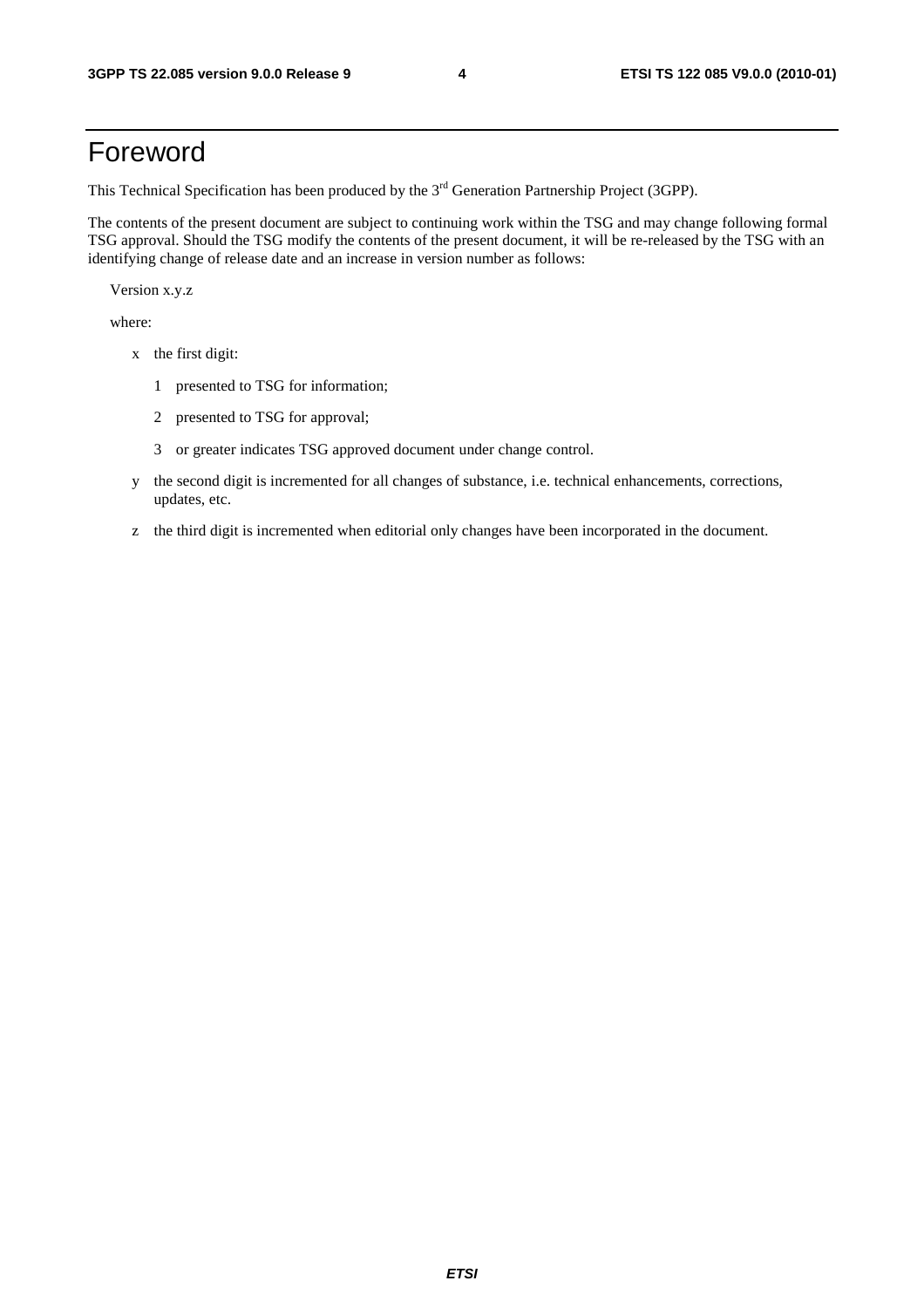### Foreword

This Technical Specification has been produced by the 3<sup>rd</sup> Generation Partnership Project (3GPP).

The contents of the present document are subject to continuing work within the TSG and may change following formal TSG approval. Should the TSG modify the contents of the present document, it will be re-released by the TSG with an identifying change of release date and an increase in version number as follows:

Version x.y.z

where:

- x the first digit:
	- 1 presented to TSG for information;
	- 2 presented to TSG for approval;
	- 3 or greater indicates TSG approved document under change control.
- y the second digit is incremented for all changes of substance, i.e. technical enhancements, corrections, updates, etc.
- z the third digit is incremented when editorial only changes have been incorporated in the document.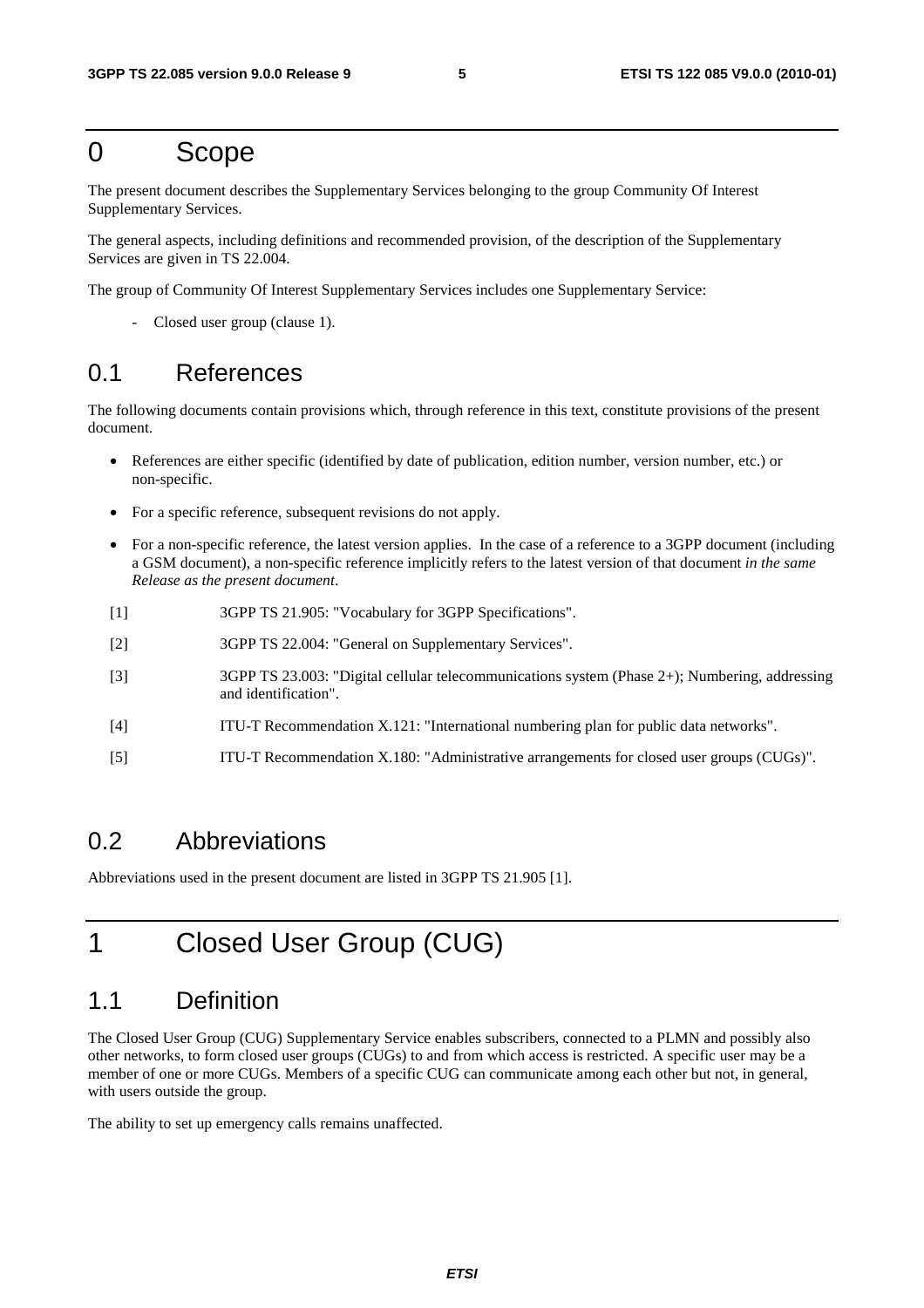### 0 Scope

The present document describes the Supplementary Services belonging to the group Community Of Interest Supplementary Services.

The general aspects, including definitions and recommended provision, of the description of the Supplementary Services are given in TS 22.004.

The group of Community Of Interest Supplementary Services includes one Supplementary Service:

Closed user group (clause 1).

### 0.1 References

The following documents contain provisions which, through reference in this text, constitute provisions of the present document.

- References are either specific (identified by date of publication, edition number, version number, etc.) or non-specific.
- For a specific reference, subsequent revisions do not apply.
- For a non-specific reference, the latest version applies. In the case of a reference to a 3GPP document (including a GSM document), a non-specific reference implicitly refers to the latest version of that document *in the same Release as the present document*.
- [1] 3GPP TS 21.905: "Vocabulary for 3GPP Specifications".
- [2] 3GPP TS 22.004: "General on Supplementary Services".
- [3] 3GPP TS 23.003: "Digital cellular telecommunications system (Phase 2+); Numbering, addressing and identification".
- [4] ITU-T Recommendation X.121: "International numbering plan for public data networks".
- [5] ITU-T Recommendation X.180: "Administrative arrangements for closed user groups (CUGs)".

### 0.2 Abbreviations

Abbreviations used in the present document are listed in 3GPP TS 21.905 [1].

### 1 Closed User Group (CUG)

### 1.1 Definition

The Closed User Group (CUG) Supplementary Service enables subscribers, connected to a PLMN and possibly also other networks, to form closed user groups (CUGs) to and from which access is restricted. A specific user may be a member of one or more CUGs. Members of a specific CUG can communicate among each other but not, in general, with users outside the group.

The ability to set up emergency calls remains unaffected.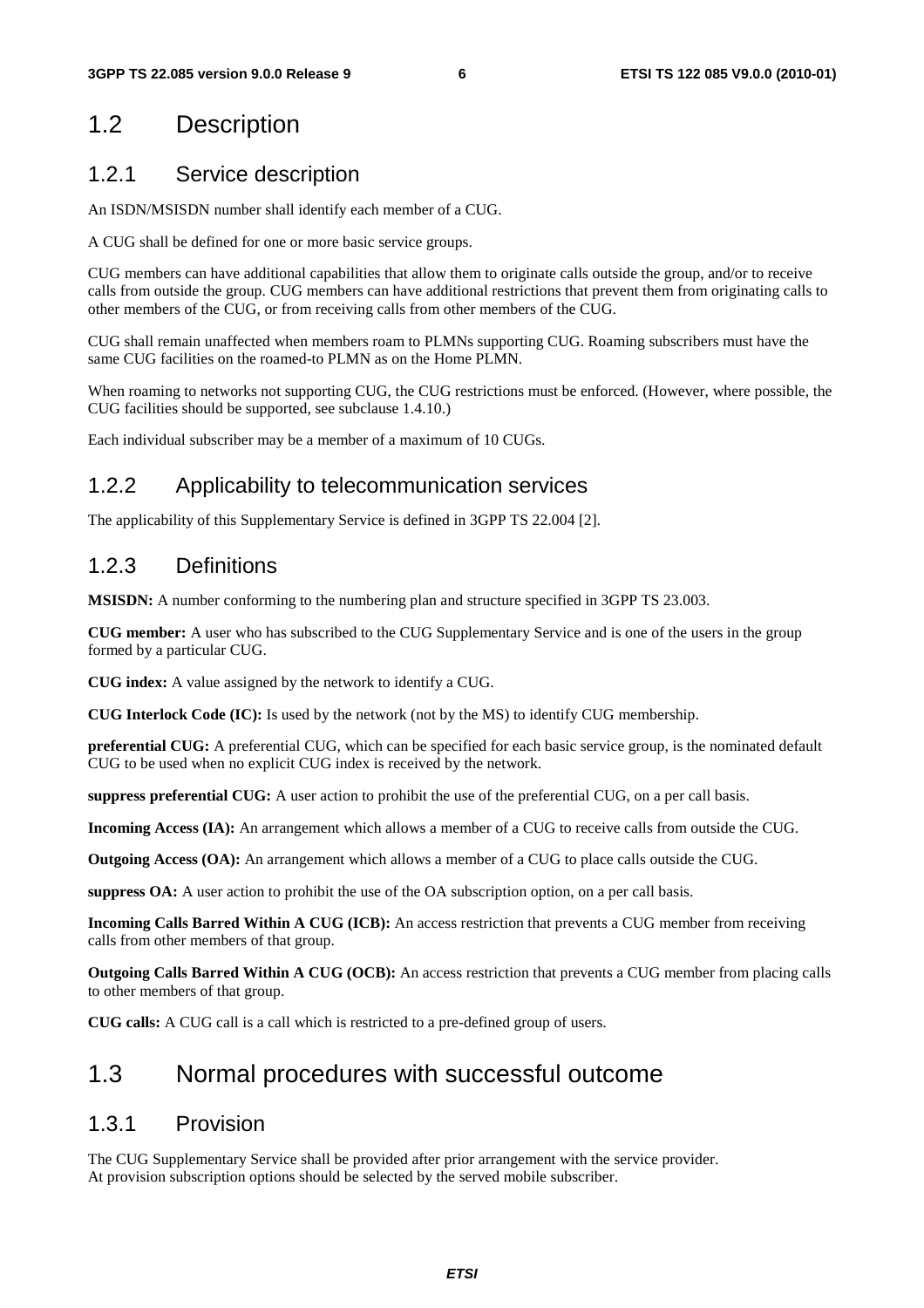### 1.2 Description

### 1.2.1 Service description

An ISDN/MSISDN number shall identify each member of a CUG.

A CUG shall be defined for one or more basic service groups.

CUG members can have additional capabilities that allow them to originate calls outside the group, and/or to receive calls from outside the group. CUG members can have additional restrictions that prevent them from originating calls to other members of the CUG, or from receiving calls from other members of the CUG.

CUG shall remain unaffected when members roam to PLMNs supporting CUG. Roaming subscribers must have the same CUG facilities on the roamed-to PLMN as on the Home PLMN.

When roaming to networks not supporting CUG, the CUG restrictions must be enforced. (However, where possible, the CUG facilities should be supported, see subclause 1.4.10.)

Each individual subscriber may be a member of a maximum of 10 CUGs.

#### 1.2.2 Applicability to telecommunication services

The applicability of this Supplementary Service is defined in 3GPP TS 22.004 [2].

#### 1.2.3 Definitions

**MSISDN:** A number conforming to the numbering plan and structure specified in 3GPP TS 23.003.

**CUG member:** A user who has subscribed to the CUG Supplementary Service and is one of the users in the group formed by a particular CUG.

**CUG index:** A value assigned by the network to identify a CUG.

**CUG Interlock Code (IC):** Is used by the network (not by the MS) to identify CUG membership.

**preferential CUG:** A preferential CUG, which can be specified for each basic service group, is the nominated default CUG to be used when no explicit CUG index is received by the network.

**suppress preferential CUG:** A user action to prohibit the use of the preferential CUG, on a per call basis.

**Incoming Access (IA):** An arrangement which allows a member of a CUG to receive calls from outside the CUG.

**Outgoing Access (OA):** An arrangement which allows a member of a CUG to place calls outside the CUG.

**suppress OA:** A user action to prohibit the use of the OA subscription option, on a per call basis.

**Incoming Calls Barred Within A CUG (ICB):** An access restriction that prevents a CUG member from receiving calls from other members of that group.

**Outgoing Calls Barred Within A CUG (OCB):** An access restriction that prevents a CUG member from placing calls to other members of that group.

**CUG calls:** A CUG call is a call which is restricted to a pre-defined group of users.

### 1.3 Normal procedures with successful outcome

#### 1.3.1 Provision

The CUG Supplementary Service shall be provided after prior arrangement with the service provider. At provision subscription options should be selected by the served mobile subscriber.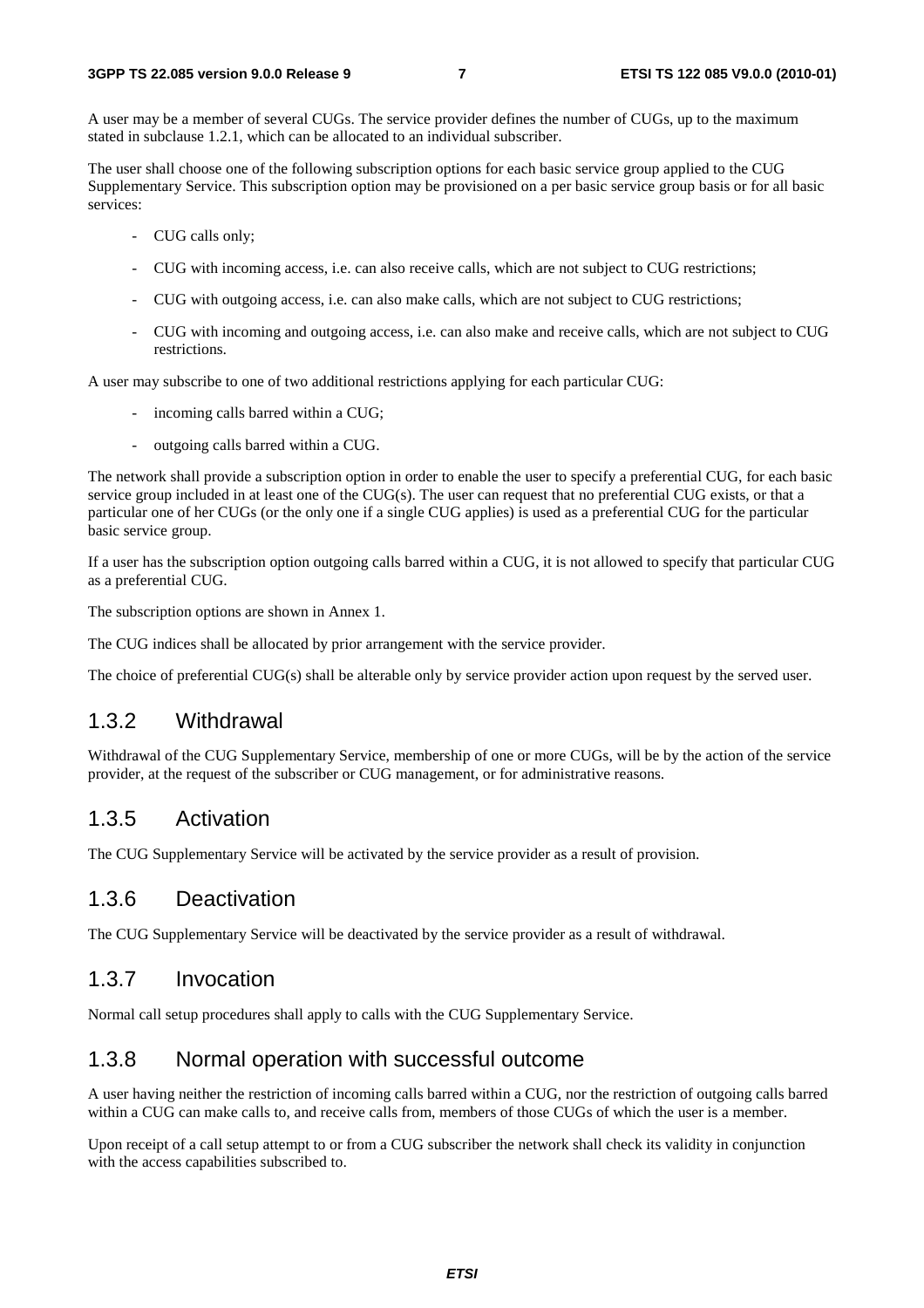A user may be a member of several CUGs. The service provider defines the number of CUGs, up to the maximum stated in subclause 1.2.1, which can be allocated to an individual subscriber.

The user shall choose one of the following subscription options for each basic service group applied to the CUG Supplementary Service. This subscription option may be provisioned on a per basic service group basis or for all basic services:

- CUG calls only;
- CUG with incoming access, i.e. can also receive calls, which are not subject to CUG restrictions;
- CUG with outgoing access, i.e. can also make calls, which are not subject to CUG restrictions;
- CUG with incoming and outgoing access, i.e. can also make and receive calls, which are not subject to CUG restrictions.

A user may subscribe to one of two additional restrictions applying for each particular CUG:

- incoming calls barred within a CUG;
- outgoing calls barred within a CUG.

The network shall provide a subscription option in order to enable the user to specify a preferential CUG, for each basic service group included in at least one of the CUG(s). The user can request that no preferential CUG exists, or that a particular one of her CUGs (or the only one if a single CUG applies) is used as a preferential CUG for the particular basic service group.

If a user has the subscription option outgoing calls barred within a CUG, it is not allowed to specify that particular CUG as a preferential CUG.

The subscription options are shown in Annex 1.

The CUG indices shall be allocated by prior arrangement with the service provider.

The choice of preferential CUG(s) shall be alterable only by service provider action upon request by the served user.

#### 1.3.2 Withdrawal

Withdrawal of the CUG Supplementary Service, membership of one or more CUGs, will be by the action of the service provider, at the request of the subscriber or CUG management, or for administrative reasons.

#### 1.3.5 Activation

The CUG Supplementary Service will be activated by the service provider as a result of provision.

#### 1.3.6 Deactivation

The CUG Supplementary Service will be deactivated by the service provider as a result of withdrawal.

#### 1.3.7 Invocation

Normal call setup procedures shall apply to calls with the CUG Supplementary Service.

#### 1.3.8 Normal operation with successful outcome

A user having neither the restriction of incoming calls barred within a CUG, nor the restriction of outgoing calls barred within a CUG can make calls to, and receive calls from, members of those CUGs of which the user is a member.

Upon receipt of a call setup attempt to or from a CUG subscriber the network shall check its validity in conjunction with the access capabilities subscribed to.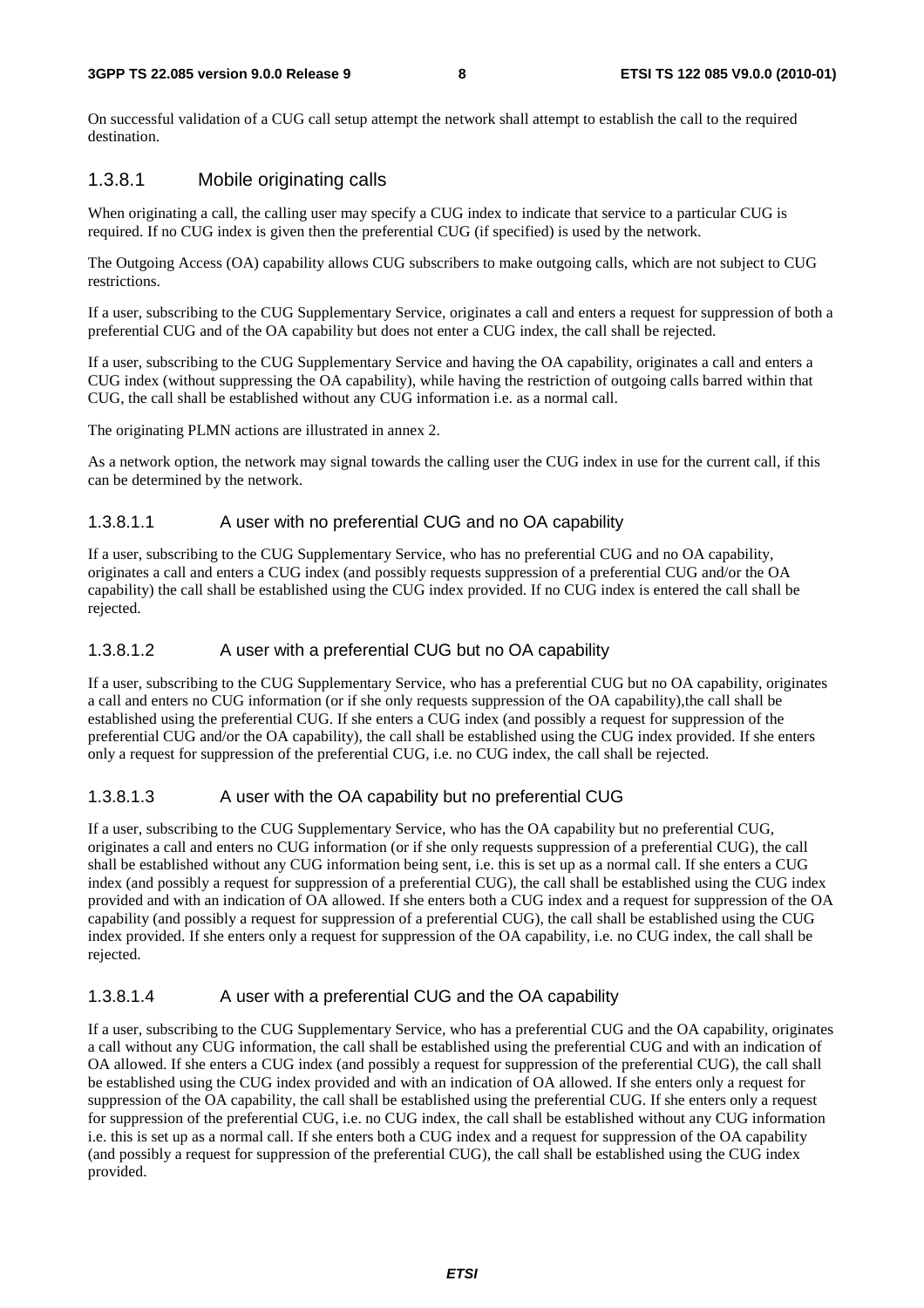On successful validation of a CUG call setup attempt the network shall attempt to establish the call to the required destination.

#### 1.3.8.1 Mobile originating calls

When originating a call, the calling user may specify a CUG index to indicate that service to a particular CUG is required. If no CUG index is given then the preferential CUG (if specified) is used by the network.

The Outgoing Access (OA) capability allows CUG subscribers to make outgoing calls, which are not subject to CUG restrictions.

If a user, subscribing to the CUG Supplementary Service, originates a call and enters a request for suppression of both a preferential CUG and of the OA capability but does not enter a CUG index, the call shall be rejected.

If a user, subscribing to the CUG Supplementary Service and having the OA capability, originates a call and enters a CUG index (without suppressing the OA capability), while having the restriction of outgoing calls barred within that CUG, the call shall be established without any CUG information i.e. as a normal call.

The originating PLMN actions are illustrated in annex 2.

As a network option, the network may signal towards the calling user the CUG index in use for the current call, if this can be determined by the network.

#### 1.3.8.1.1 A user with no preferential CUG and no OA capability

If a user, subscribing to the CUG Supplementary Service, who has no preferential CUG and no OA capability, originates a call and enters a CUG index (and possibly requests suppression of a preferential CUG and/or the OA capability) the call shall be established using the CUG index provided. If no CUG index is entered the call shall be rejected.

#### 1.3.8.1.2 A user with a preferential CUG but no OA capability

If a user, subscribing to the CUG Supplementary Service, who has a preferential CUG but no OA capability, originates a call and enters no CUG information (or if she only requests suppression of the OA capability),the call shall be established using the preferential CUG. If she enters a CUG index (and possibly a request for suppression of the preferential CUG and/or the OA capability), the call shall be established using the CUG index provided. If she enters only a request for suppression of the preferential CUG, i.e. no CUG index, the call shall be rejected.

#### 1.3.8.1.3 A user with the OA capability but no preferential CUG

If a user, subscribing to the CUG Supplementary Service, who has the OA capability but no preferential CUG, originates a call and enters no CUG information (or if she only requests suppression of a preferential CUG), the call shall be established without any CUG information being sent, i.e. this is set up as a normal call. If she enters a CUG index (and possibly a request for suppression of a preferential CUG), the call shall be established using the CUG index provided and with an indication of OA allowed. If she enters both a CUG index and a request for suppression of the OA capability (and possibly a request for suppression of a preferential CUG), the call shall be established using the CUG index provided. If she enters only a request for suppression of the OA capability, i.e. no CUG index, the call shall be rejected.

#### 1.3.8.1.4 A user with a preferential CUG and the OA capability

If a user, subscribing to the CUG Supplementary Service, who has a preferential CUG and the OA capability, originates a call without any CUG information, the call shall be established using the preferential CUG and with an indication of OA allowed. If she enters a CUG index (and possibly a request for suppression of the preferential CUG), the call shall be established using the CUG index provided and with an indication of OA allowed. If she enters only a request for suppression of the OA capability, the call shall be established using the preferential CUG. If she enters only a request for suppression of the preferential CUG, i.e. no CUG index, the call shall be established without any CUG information i.e. this is set up as a normal call. If she enters both a CUG index and a request for suppression of the OA capability (and possibly a request for suppression of the preferential CUG), the call shall be established using the CUG index provided.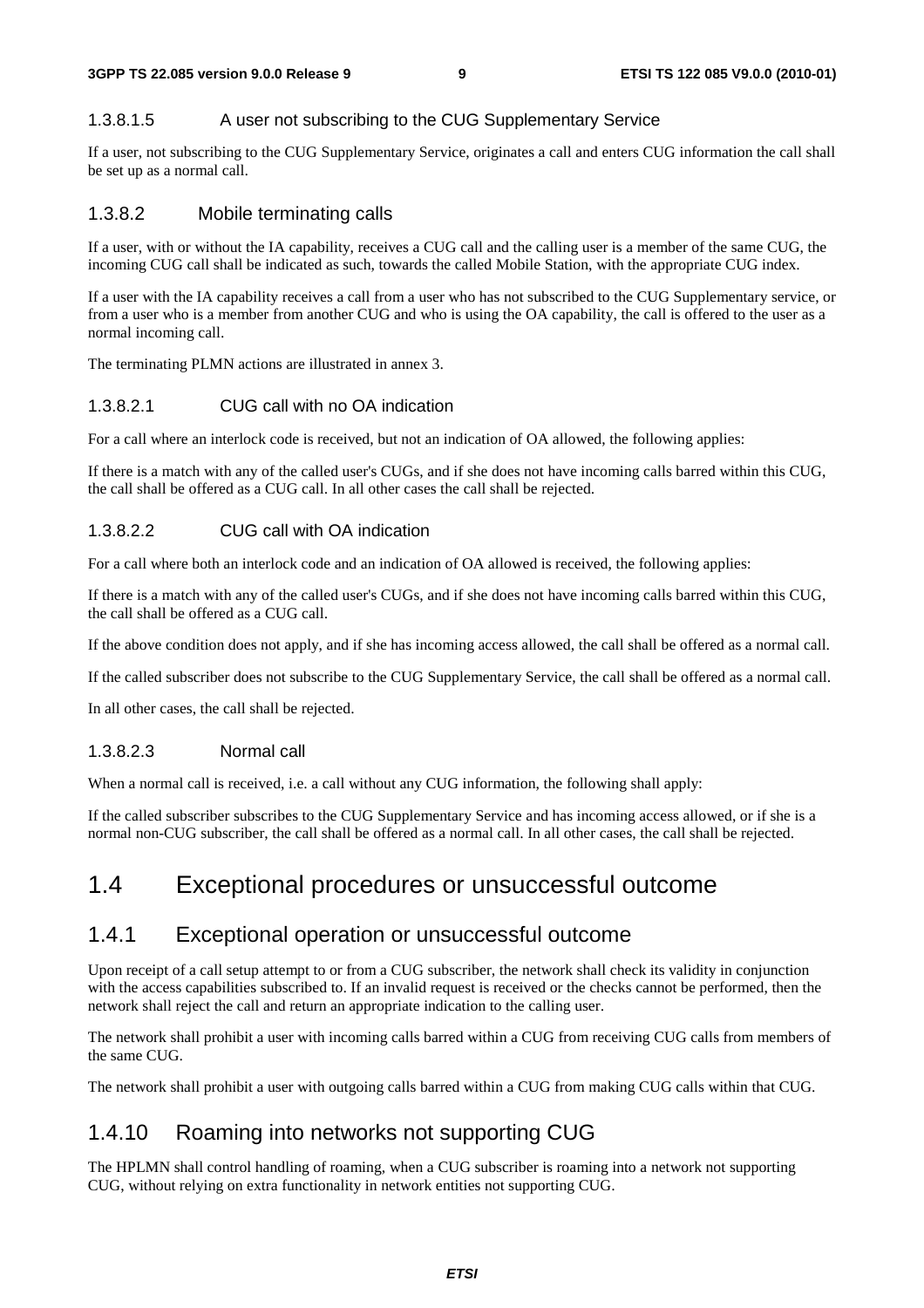#### 1.3.8.1.5 A user not subscribing to the CUG Supplementary Service

If a user, not subscribing to the CUG Supplementary Service, originates a call and enters CUG information the call shall be set up as a normal call.

#### 1.3.8.2 Mobile terminating calls

If a user, with or without the IA capability, receives a CUG call and the calling user is a member of the same CUG, the incoming CUG call shall be indicated as such, towards the called Mobile Station, with the appropriate CUG index.

If a user with the IA capability receives a call from a user who has not subscribed to the CUG Supplementary service, or from a user who is a member from another CUG and who is using the OA capability, the call is offered to the user as a normal incoming call.

The terminating PLMN actions are illustrated in annex 3.

#### 1.3.8.2.1 CUG call with no OA indication

For a call where an interlock code is received, but not an indication of OA allowed, the following applies:

If there is a match with any of the called user's CUGs, and if she does not have incoming calls barred within this CUG, the call shall be offered as a CUG call. In all other cases the call shall be rejected.

#### 1.3.8.2.2 CUG call with OA indication

For a call where both an interlock code and an indication of OA allowed is received, the following applies:

If there is a match with any of the called user's CUGs, and if she does not have incoming calls barred within this CUG, the call shall be offered as a CUG call.

If the above condition does not apply, and if she has incoming access allowed, the call shall be offered as a normal call.

If the called subscriber does not subscribe to the CUG Supplementary Service, the call shall be offered as a normal call.

In all other cases, the call shall be rejected.

#### 1.3.8.2.3 Normal call

When a normal call is received, i.e. a call without any CUG information, the following shall apply:

If the called subscriber subscribes to the CUG Supplementary Service and has incoming access allowed, or if she is a normal non-CUG subscriber, the call shall be offered as a normal call. In all other cases, the call shall be rejected.

### 1.4 Exceptional procedures or unsuccessful outcome

#### 1.4.1 Exceptional operation or unsuccessful outcome

Upon receipt of a call setup attempt to or from a CUG subscriber, the network shall check its validity in conjunction with the access capabilities subscribed to. If an invalid request is received or the checks cannot be performed, then the network shall reject the call and return an appropriate indication to the calling user.

The network shall prohibit a user with incoming calls barred within a CUG from receiving CUG calls from members of the same CUG.

The network shall prohibit a user with outgoing calls barred within a CUG from making CUG calls within that CUG.

### 1.4.10 Roaming into networks not supporting CUG

The HPLMN shall control handling of roaming, when a CUG subscriber is roaming into a network not supporting CUG, without relying on extra functionality in network entities not supporting CUG.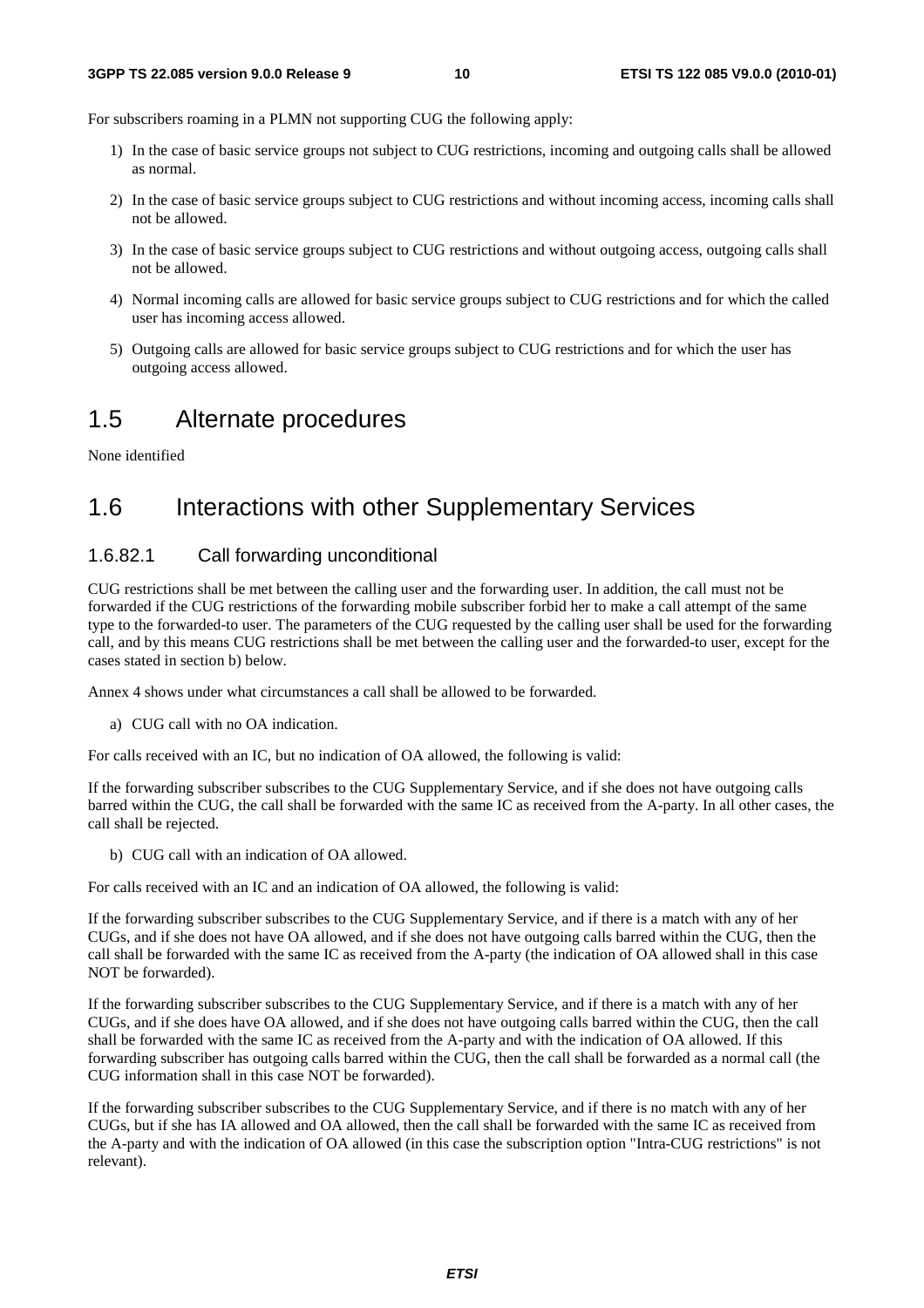For subscribers roaming in a PLMN not supporting CUG the following apply:

- 1) In the case of basic service groups not subject to CUG restrictions, incoming and outgoing calls shall be allowed as normal.
- 2) In the case of basic service groups subject to CUG restrictions and without incoming access, incoming calls shall not be allowed.
- 3) In the case of basic service groups subject to CUG restrictions and without outgoing access, outgoing calls shall not be allowed.
- 4) Normal incoming calls are allowed for basic service groups subject to CUG restrictions and for which the called user has incoming access allowed.
- 5) Outgoing calls are allowed for basic service groups subject to CUG restrictions and for which the user has outgoing access allowed.

### 1.5 Alternate procedures

None identified

### 1.6 Interactions with other Supplementary Services

#### 1.6.82.1 Call forwarding unconditional

CUG restrictions shall be met between the calling user and the forwarding user. In addition, the call must not be forwarded if the CUG restrictions of the forwarding mobile subscriber forbid her to make a call attempt of the same type to the forwarded-to user. The parameters of the CUG requested by the calling user shall be used for the forwarding call, and by this means CUG restrictions shall be met between the calling user and the forwarded-to user, except for the cases stated in section b) below.

Annex 4 shows under what circumstances a call shall be allowed to be forwarded.

a) CUG call with no OA indication.

For calls received with an IC, but no indication of OA allowed, the following is valid:

If the forwarding subscriber subscribes to the CUG Supplementary Service, and if she does not have outgoing calls barred within the CUG, the call shall be forwarded with the same IC as received from the A-party. In all other cases, the call shall be rejected.

b) CUG call with an indication of OA allowed.

For calls received with an IC and an indication of OA allowed, the following is valid:

If the forwarding subscriber subscribes to the CUG Supplementary Service, and if there is a match with any of her CUGs, and if she does not have OA allowed, and if she does not have outgoing calls barred within the CUG, then the call shall be forwarded with the same IC as received from the A-party (the indication of OA allowed shall in this case NOT be forwarded).

If the forwarding subscriber subscribes to the CUG Supplementary Service, and if there is a match with any of her CUGs, and if she does have OA allowed, and if she does not have outgoing calls barred within the CUG, then the call shall be forwarded with the same IC as received from the A-party and with the indication of OA allowed. If this forwarding subscriber has outgoing calls barred within the CUG, then the call shall be forwarded as a normal call (the CUG information shall in this case NOT be forwarded).

If the forwarding subscriber subscribes to the CUG Supplementary Service, and if there is no match with any of her CUGs, but if she has IA allowed and OA allowed, then the call shall be forwarded with the same IC as received from the A-party and with the indication of OA allowed (in this case the subscription option "Intra-CUG restrictions" is not relevant).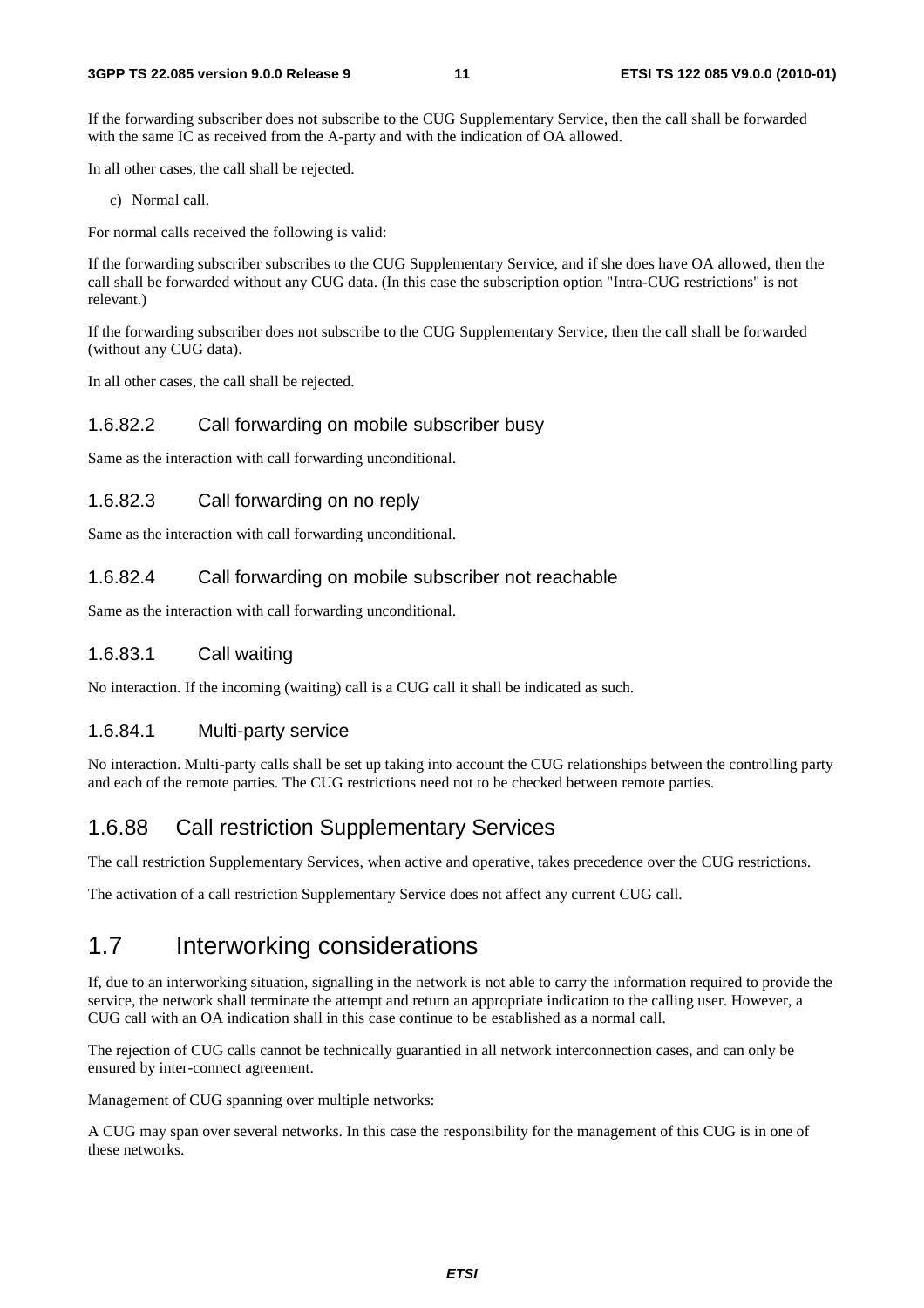If the forwarding subscriber does not subscribe to the CUG Supplementary Service, then the call shall be forwarded with the same IC as received from the A-party and with the indication of OA allowed.

In all other cases, the call shall be rejected.

c) Normal call.

For normal calls received the following is valid:

If the forwarding subscriber subscribes to the CUG Supplementary Service, and if she does have OA allowed, then the call shall be forwarded without any CUG data. (In this case the subscription option "Intra-CUG restrictions" is not relevant.)

If the forwarding subscriber does not subscribe to the CUG Supplementary Service, then the call shall be forwarded (without any CUG data).

In all other cases, the call shall be rejected.

#### 1.6.82.2 Call forwarding on mobile subscriber busy

Same as the interaction with call forwarding unconditional.

#### 1.6.82.3 Call forwarding on no reply

Same as the interaction with call forwarding unconditional.

#### 1.6.82.4 Call forwarding on mobile subscriber not reachable

Same as the interaction with call forwarding unconditional.

#### 1.6.83.1 Call waiting

No interaction. If the incoming (waiting) call is a CUG call it shall be indicated as such.

#### 1.6.84.1 Multi-party service

No interaction. Multi-party calls shall be set up taking into account the CUG relationships between the controlling party and each of the remote parties. The CUG restrictions need not to be checked between remote parties.

#### 1.6.88 Call restriction Supplementary Services

The call restriction Supplementary Services, when active and operative, takes precedence over the CUG restrictions.

The activation of a call restriction Supplementary Service does not affect any current CUG call.

### 1.7 Interworking considerations

If, due to an interworking situation, signalling in the network is not able to carry the information required to provide the service, the network shall terminate the attempt and return an appropriate indication to the calling user. However, a CUG call with an OA indication shall in this case continue to be established as a normal call.

The rejection of CUG calls cannot be technically guarantied in all network interconnection cases, and can only be ensured by inter-connect agreement.

Management of CUG spanning over multiple networks:

A CUG may span over several networks. In this case the responsibility for the management of this CUG is in one of these networks.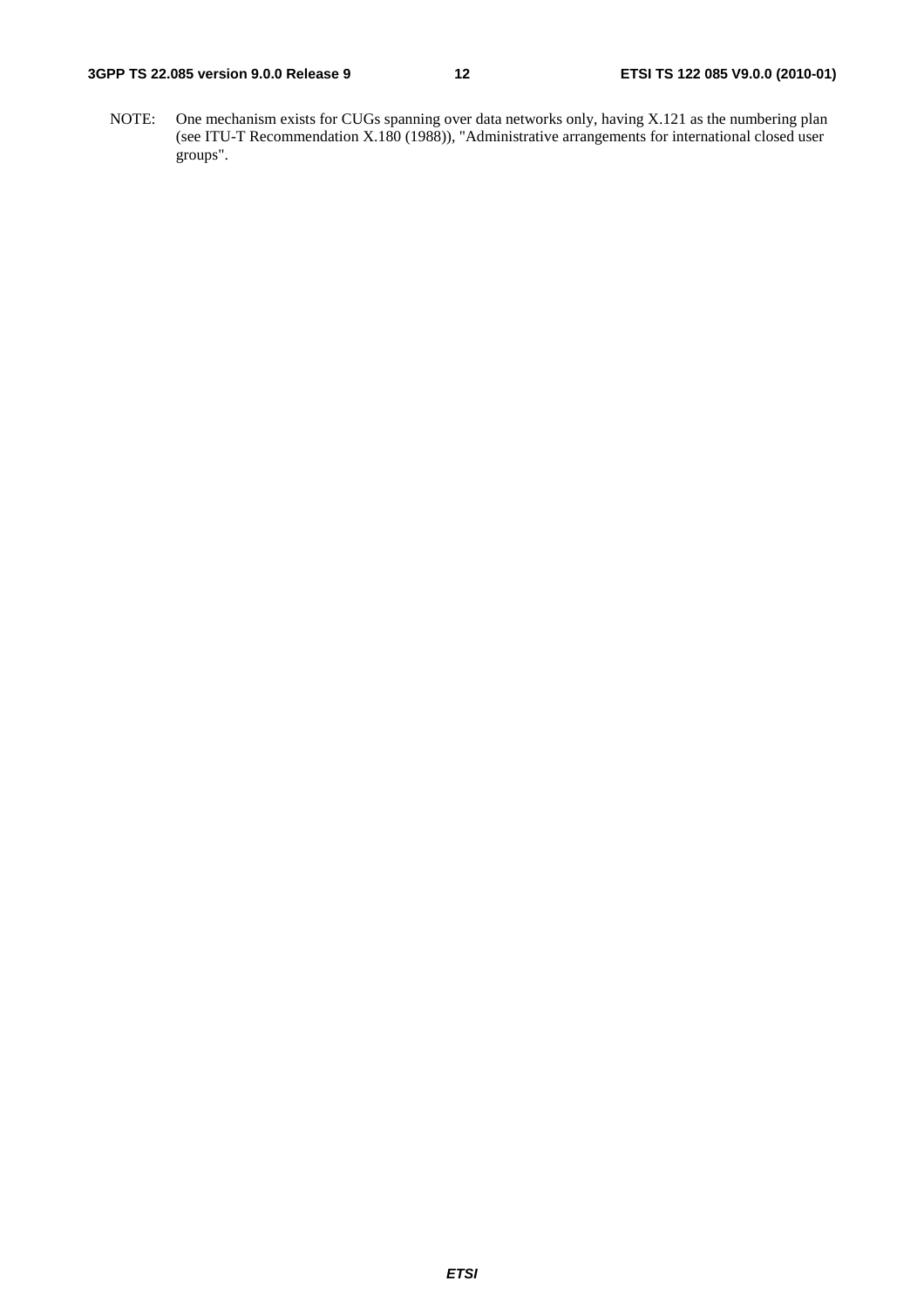NOTE: One mechanism exists for CUGs spanning over data networks only, having X.121 as the numbering plan (see ITU-T Recommendation X.180 (1988)), "Administrative arrangements for international closed user groups".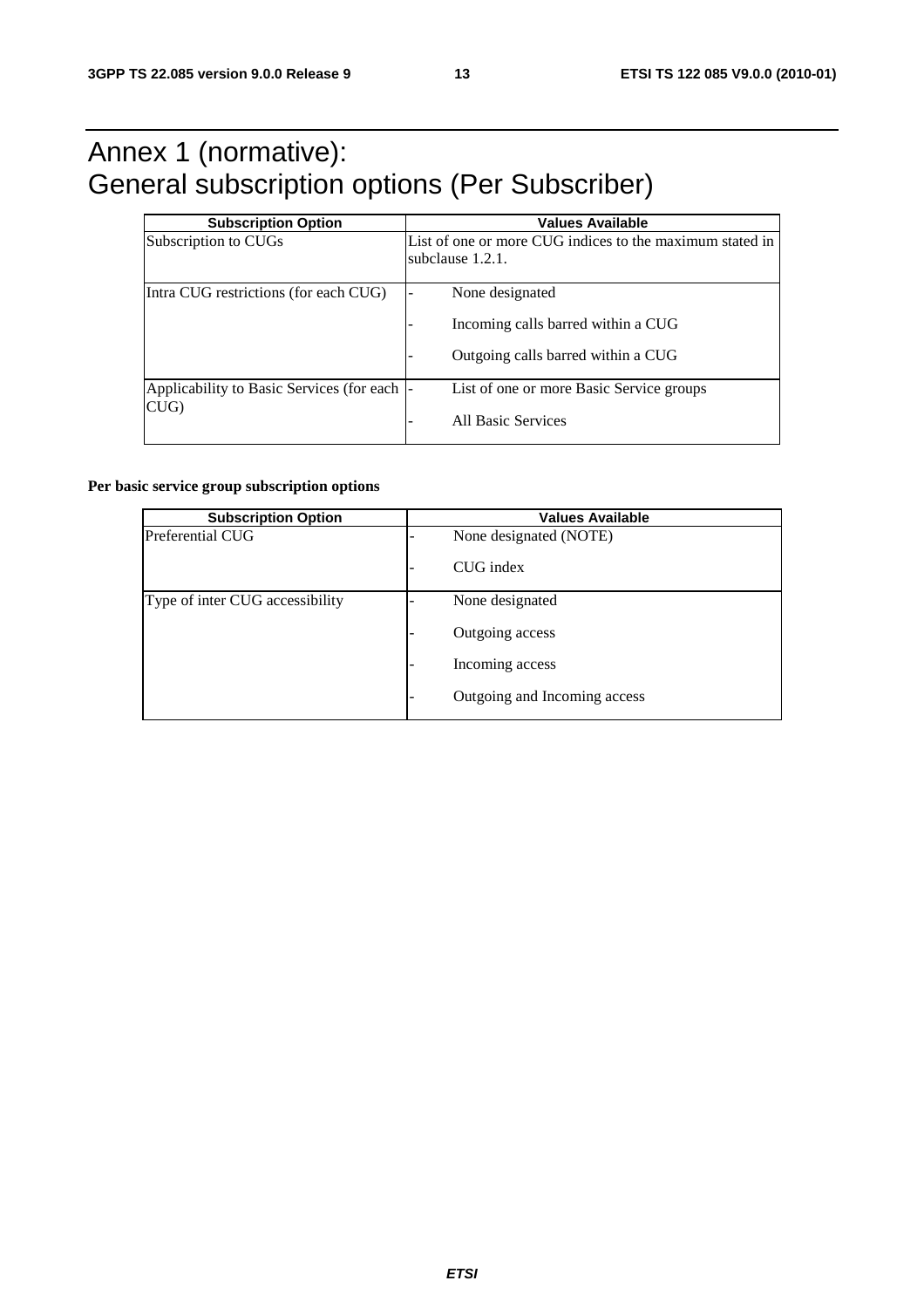### Annex 1 (normative): General subscription options (Per Subscriber)

| <b>Subscription Option</b>                          | <b>Values Available</b>                                                                     |
|-----------------------------------------------------|---------------------------------------------------------------------------------------------|
| Subscription to CUGs                                | List of one or more CUG indices to the maximum stated in<br>subclause 1.2.1.                |
| Intra CUG restrictions (for each CUG)               | None designated<br>Incoming calls barred within a CUG<br>Outgoing calls barred within a CUG |
| Applicability to Basic Services (for each  -<br>CUG | List of one or more Basic Service groups<br>All Basic Services                              |

#### **Per basic service group subscription options**

| <b>Subscription Option</b>      | <b>Values Available</b>      |
|---------------------------------|------------------------------|
| Preferential CUG                | None designated (NOTE)       |
|                                 | CUG index                    |
| Type of inter CUG accessibility | None designated              |
|                                 | Outgoing access              |
|                                 | Incoming access              |
|                                 | Outgoing and Incoming access |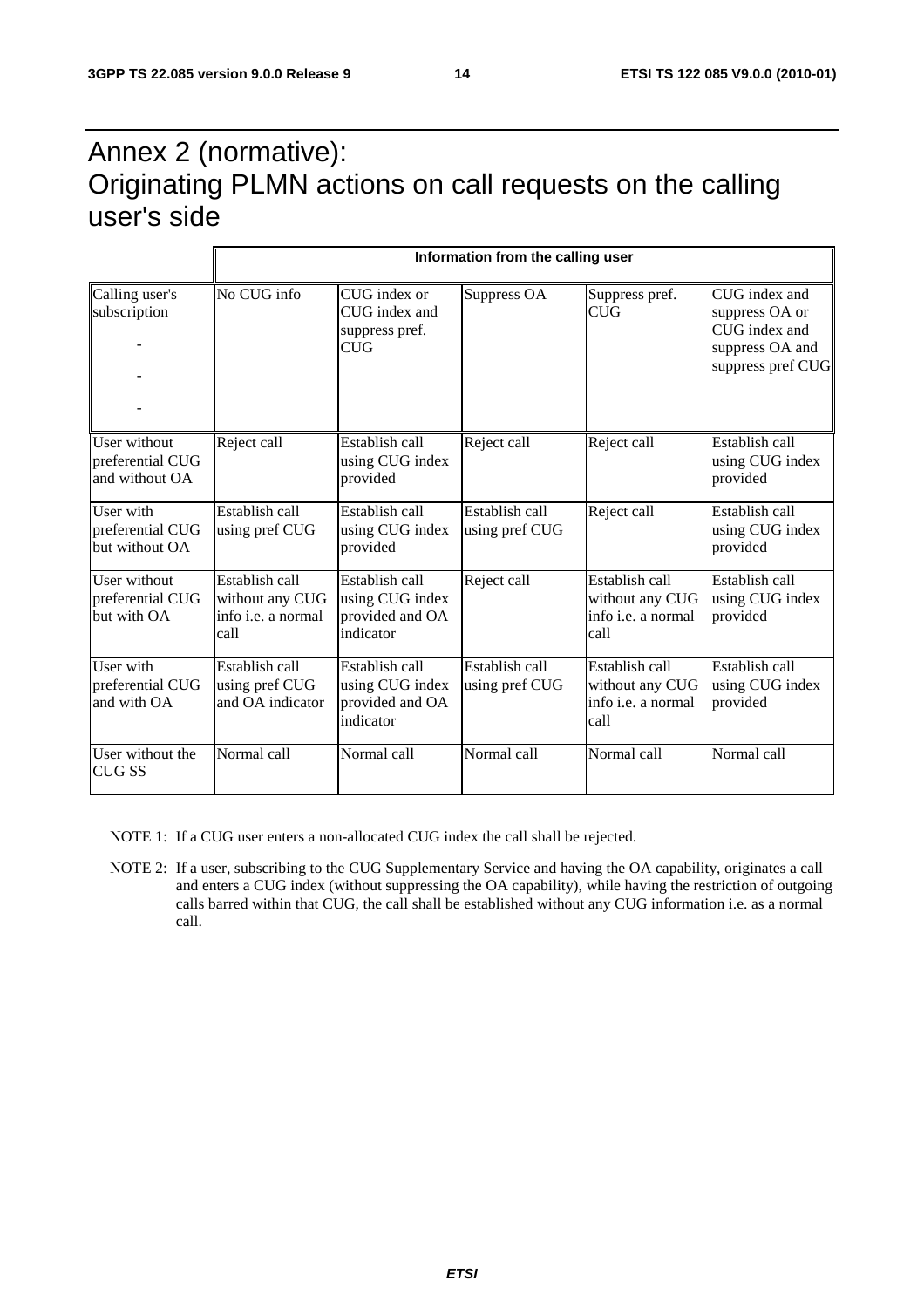### Annex 2 (normative): Originating PLMN actions on call requests on the calling user's side

| Calling user's<br>subscription                     | No CUG info                                                     | CUG index or<br>CUG index and<br>suppress pref.<br><b>CUG</b>     | Suppress OA                      | Suppress pref.<br><b>CUG</b>                                    | CUG index and<br>suppress OA or<br>CUG index and<br>suppress OA and<br>suppress pref CUG |
|----------------------------------------------------|-----------------------------------------------------------------|-------------------------------------------------------------------|----------------------------------|-----------------------------------------------------------------|------------------------------------------------------------------------------------------|
| User without<br>preferential CUG<br>and without OA | Reject call                                                     | Establish call<br>using CUG index<br>provided                     | Reject call                      | Reject call                                                     | Establish call<br>using CUG index<br>provided                                            |
| User with<br>preferential CUG<br>but without OA    | Establish call<br>using pref CUG                                | Establish call<br>using CUG index<br>provided                     | Establish call<br>using pref CUG | Reject call                                                     | Establish call<br>using CUG index<br>provided                                            |
| User without<br>preferential CUG<br>but with OA    | Establish call<br>without any CUG<br>info i.e. a normal<br>call | Establish call<br>using CUG index<br>provided and OA<br>indicator | Reject call                      | Establish call<br>without any CUG<br>info i.e. a normal<br>call | Establish call<br>using CUG index<br>provided                                            |
| User with<br>preferential CUG<br>and with OA       | Establish call<br>using pref CUG<br>and OA indicator            | Establish call<br>using CUG index<br>provided and OA<br>indicator | Establish call<br>using pref CUG | Establish call<br>without any CUG<br>info i.e. a normal<br>call | Establish call<br>using CUG index<br>provided                                            |
| User without the<br><b>CUG SS</b>                  | Normal call                                                     | Normal call                                                       | Normal call                      | Normal call                                                     | Normal call                                                                              |

NOTE 1: If a CUG user enters a non-allocated CUG index the call shall be rejected.

NOTE 2: If a user, subscribing to the CUG Supplementary Service and having the OA capability, originates a call and enters a CUG index (without suppressing the OA capability), while having the restriction of outgoing calls barred within that CUG, the call shall be established without any CUG information i.e. as a normal call.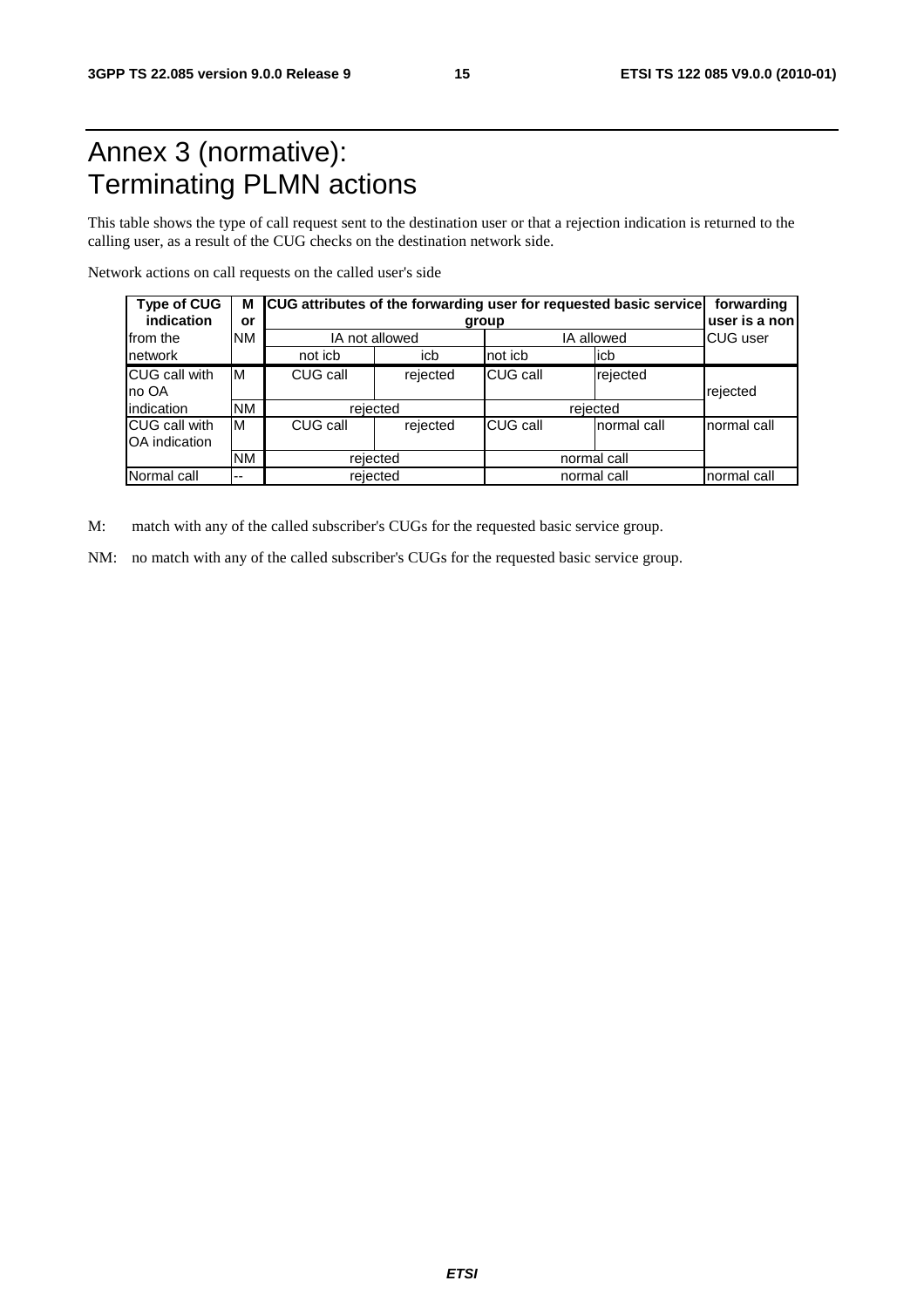### Annex 3 (normative): Terminating PLMN actions

This table shows the type of call request sent to the destination user or that a rejection indication is returned to the calling user, as a result of the CUG checks on the destination network side.

Network actions on call requests on the called user's side

| <b>Type of CUG</b><br>indication       | or                         | M CUG attributes of the forwarding user for requested basic service | forwarding<br>user is a non |             |              |             |
|----------------------------------------|----------------------------|---------------------------------------------------------------------|-----------------------------|-------------|--------------|-------------|
| Ifrom the                              | <b>NM</b>                  |                                                                     | IA not allowed              |             | IA allowed   |             |
| network                                |                            | not icb                                                             | icb                         | not icb     | licb         |             |
| <b>ICUG call with</b><br>Ino OA        | ΙM                         | CUG call                                                            | rejected                    | CUG call    | rejected     | rejected    |
| indication                             | <b>NM</b>                  | rejected                                                            |                             | rejected    |              |             |
| <b>ICUG call with</b><br>OA indication | CUG call<br>ΙM<br>rejected |                                                                     |                             | CUG call    | Inormal call | normal call |
|                                        | <b>NM</b>                  | rejected                                                            |                             |             | normal call  |             |
| Normal call                            | $- -$                      |                                                                     | rejected                    | normal call | normal call  |             |

M: match with any of the called subscriber's CUGs for the requested basic service group.

NM: no match with any of the called subscriber's CUGs for the requested basic service group.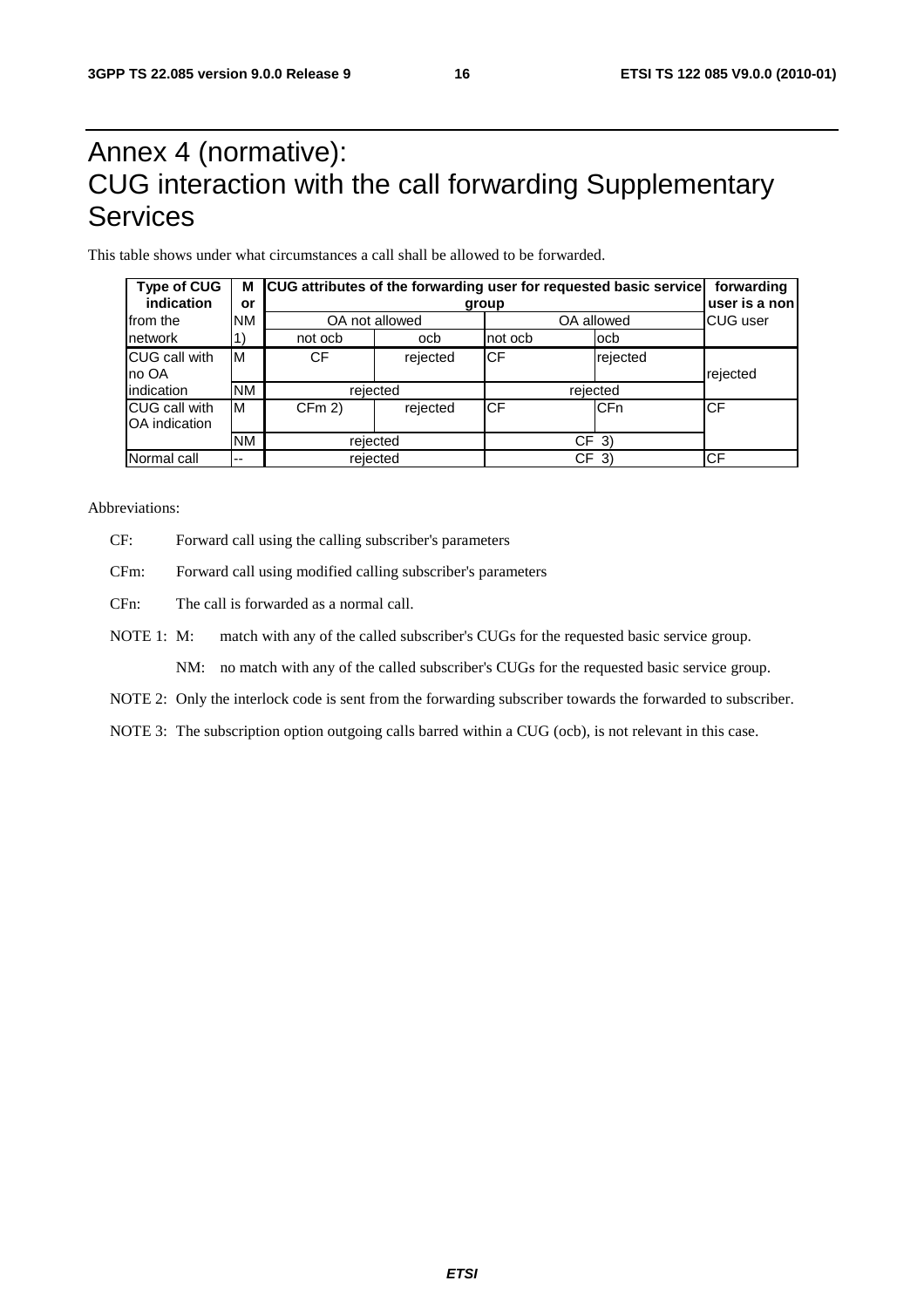### Annex 4 (normative): CUG interaction with the call forwarding Supplementary Services

This table shows under what circumstances a call shall be allowed to be forwarded.

| <b>Type of CUG</b><br>indication | М<br>or   | CUG attributes of the forwarding user for requested basic service | forwarding<br>user is a non |            |                 |          |  |
|----------------------------------|-----------|-------------------------------------------------------------------|-----------------------------|------------|-----------------|----------|--|
| Ifrom the                        | <b>NM</b> |                                                                   | OA not allowed              |            | OA allowed      |          |  |
| network                          |           | not ocb                                                           | ocb                         | not ocb    | locb            |          |  |
| CUG call with<br>Ino OA          | ΙM        | CF                                                                | rejected                    | <b>CF</b>  | rejected        | rejected |  |
| lindication                      | <b>NM</b> |                                                                   | rejected                    |            | rejected        |          |  |
| CUG call with<br>OA indication   | ΙM        | CFm 2                                                             | rejected                    | <b>ICF</b> | <b>CFn</b>      | CF       |  |
|                                  | <b>NM</b> |                                                                   | rejected                    |            | CF <sub>3</sub> |          |  |
| Normal call                      | $-$       |                                                                   | rejected                    |            | CF<br>-3)       |          |  |

Abbreviations:

- CF: Forward call using the calling subscriber's parameters
- CFm: Forward call using modified calling subscriber's parameters
- CFn: The call is forwarded as a normal call.
- NOTE 1: M: match with any of the called subscriber's CUGs for the requested basic service group.

NM: no match with any of the called subscriber's CUGs for the requested basic service group.

NOTE 2: Only the interlock code is sent from the forwarding subscriber towards the forwarded to subscriber.

NOTE 3: The subscription option outgoing calls barred within a CUG (ocb), is not relevant in this case.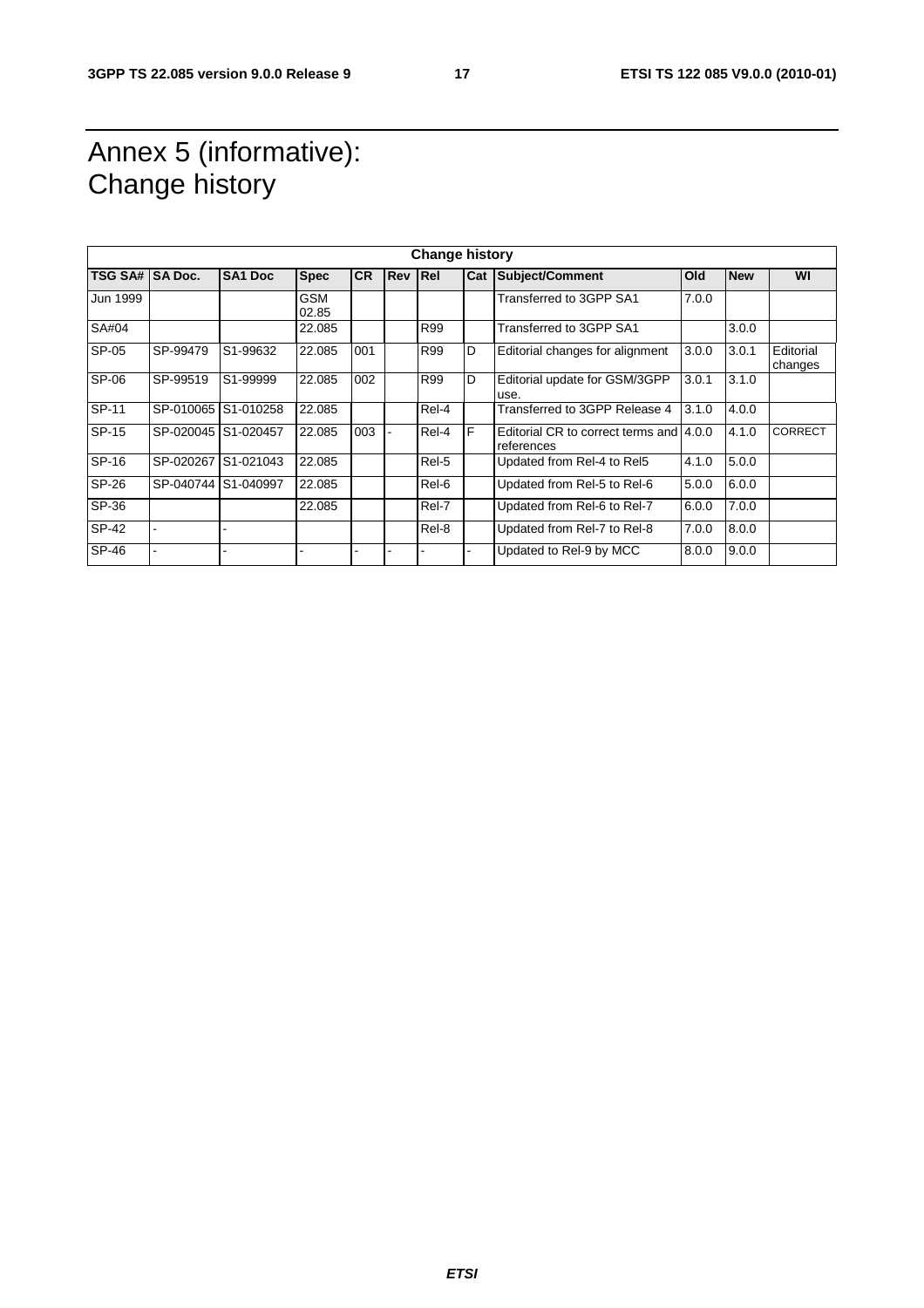### Annex 5 (informative): Change history

| <b>Change history</b> |                     |                     |                     |           |            |            |     |                                                       |       |            |                      |
|-----------------------|---------------------|---------------------|---------------------|-----------|------------|------------|-----|-------------------------------------------------------|-------|------------|----------------------|
| <b>TSG SA#</b>        | <b>SA Doc.</b>      | <b>SA1 Doc</b>      | <b>Spec</b>         | <b>CR</b> | <b>Rev</b> | <b>Rel</b> | Cat | Subject/Comment                                       | Old   | <b>New</b> | WI                   |
| Jun 1999              |                     |                     | <b>GSM</b><br>02.85 |           |            |            |     | Transferred to 3GPP SA1                               | 7.0.0 |            |                      |
| SA#04                 |                     |                     | 22.085              |           |            | R99        |     | Transferred to 3GPP SA1                               |       | 3.0.0      |                      |
| SP-05                 | SP-99479            | S1-99632            | 22.085              | 001       |            | R99        | D   | Editorial changes for alignment                       | 3.0.0 | 3.0.1      | Editorial<br>changes |
| SP-06                 | SP-99519            | S1-99999            | 22.085              | 002       |            | R99        | D   | Editorial update for GSM/3GPP<br>use.                 | 3.0.1 | 3.1.0      |                      |
| SP-11                 | SP-010065           | S1-010258           | 22.085              |           |            | Rel-4      |     | Transferred to 3GPP Release 4                         | 3.1.0 | 4.0.0      |                      |
| SP-15                 | SP-020045 S1-020457 |                     | 22.085              | 003       |            | Rel-4      | F   | Editorial CR to correct terms and 4.0.0<br>references |       | 4.1.0      | <b>CORRECT</b>       |
| SP-16                 | SP-020267           | S1-021043           | 22.085              |           |            | Rel-5      |     | Updated from Rel-4 to Rel5                            | 4.1.0 | 5.0.0      |                      |
| SP-26                 |                     | SP-040744 S1-040997 | 22.085              |           |            | Rel-6      |     | Updated from Rel-5 to Rel-6                           | 5.0.0 | 6.0.0      |                      |
| SP-36                 |                     |                     | 22.085              |           |            | Rel-7      |     | Updated from Rel-6 to Rel-7                           | 6.0.0 | 7.0.0      |                      |
| SP-42                 |                     |                     |                     |           |            | Rel-8      |     | Updated from Rel-7 to Rel-8                           | 7.0.0 | 8.0.0      |                      |
| SP-46                 |                     |                     |                     |           |            |            |     | Updated to Rel-9 by MCC                               | 8.0.0 | 9.0.0      |                      |